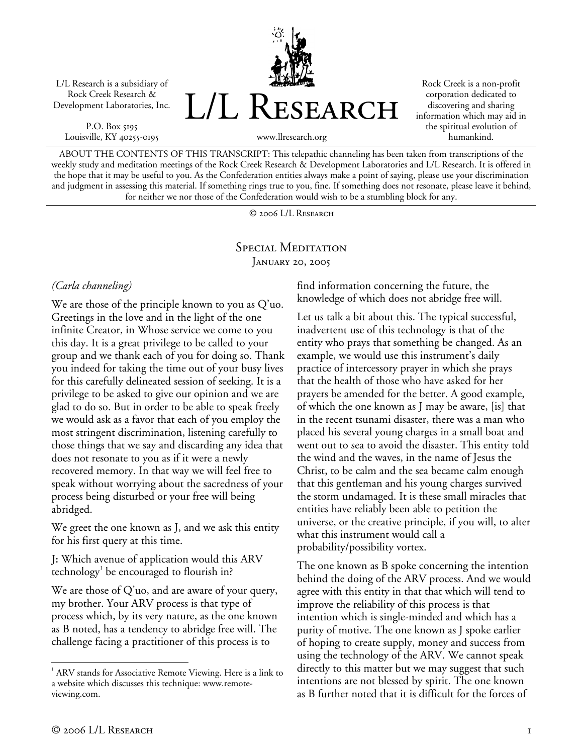L/L Research is a subsidiary of Rock Creek Research & Development Laboratories, Inc.

P.O. Box 5195 Louisville, KY 40255-0195



Rock Creek is a non-profit corporation dedicated to discovering and sharing information which may aid in the spiritual evolution of humankind.

www.llresearch.org

ABOUT THE CONTENTS OF THIS TRANSCRIPT: This telepathic channeling has been taken from transcriptions of the weekly study and meditation meetings of the Rock Creek Research & Development Laboratories and L/L Research. It is offered in the hope that it may be useful to you. As the Confederation entities always make a point of saying, please use your discrimination and judgment in assessing this material. If something rings true to you, fine. If something does not resonate, please leave it behind, for neither we nor those of the Confederation would wish to be a stumbling block for any.

© 2006 L/L Research

SPECIAL MEDITATION January 20, 2005

## *(Carla channeling)*

We are those of the principle known to you as Q'uo. Greetings in the love and in the light of the one infinite Creator, in Whose service we come to you this day. It is a great privilege to be called to your group and we thank each of you for doing so. Thank you indeed for taking the time out of your busy lives for this carefully delineated session of seeking. It is a privilege to be asked to give our opinion and we are glad to do so. But in order to be able to speak freely we would ask as a favor that each of you employ the most stringent discrimination, listening carefully to those things that we say and discarding any idea that does not resonate to you as if it were a newly recovered memory. In that way we will feel free to speak without worrying about the sacredness of your process being disturbed or your free will being abridged.

We greet the one known as J, and we ask this entity for his first query at this time.

**J:** Which avenue of application would this ARV  $technology<sup>1</sup>$  be encouraged to flourish in?

We are those of Q'uo, and are aware of your query, my brother. Your ARV process is that type of process which, by its very nature, as the one known as B noted, has a tendency to abridge free will. The challenge facing a practitioner of this process is to

find information concerning the future, the knowledge of which does not abridge free will.

Let us talk a bit about this. The typical successful, inadvertent use of this technology is that of the entity who prays that something be changed. As an example, we would use this instrument's daily practice of intercessory prayer in which she prays that the health of those who have asked for her prayers be amended for the better. A good example, of which the one known as J may be aware, [is] that in the recent tsunami disaster, there was a man who placed his several young charges in a small boat and went out to sea to avoid the disaster. This entity told the wind and the waves, in the name of Jesus the Christ, to be calm and the sea became calm enough that this gentleman and his young charges survived the storm undamaged. It is these small miracles that entities have reliably been able to petition the universe, or the creative principle, if you will, to alter what this instrument would call a probability/possibility vortex.

The one known as B spoke concerning the intention behind the doing of the ARV process. And we would agree with this entity in that that which will tend to improve the reliability of this process is that intention which is single-minded and which has a purity of motive. The one known as J spoke earlier of hoping to create supply, money and success from using the technology of the ARV. We cannot speak directly to this matter but we may suggest that such intentions are not blessed by spirit. The one known as B further noted that it is difficult for the forces of

 $\overline{a}$ 

<sup>&</sup>lt;sup>1</sup> ARV stands for Associative Remote Viewing. Here is a link to a website which discusses this technique: www.remoteviewing.com.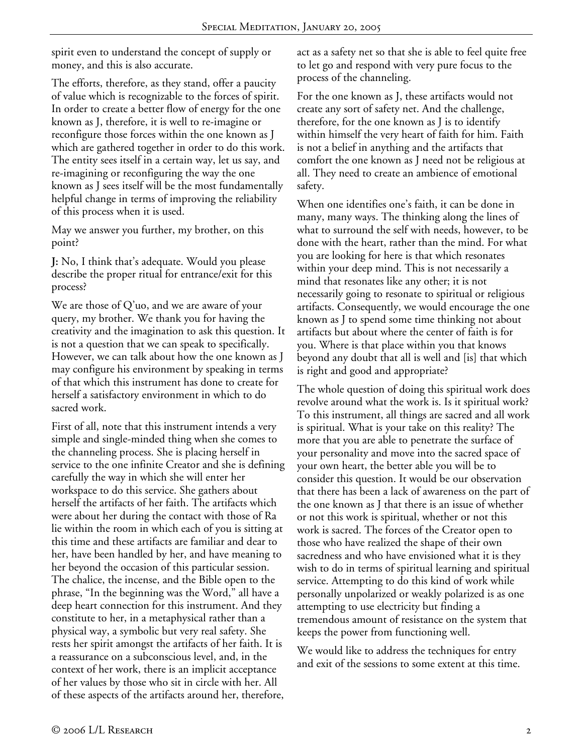spirit even to understand the concept of supply or money, and this is also accurate.

The efforts, therefore, as they stand, offer a paucity of value which is recognizable to the forces of spirit. In order to create a better flow of energy for the one known as J, therefore, it is well to re-imagine or reconfigure those forces within the one known as J which are gathered together in order to do this work. The entity sees itself in a certain way, let us say, and re-imagining or reconfiguring the way the one known as J sees itself will be the most fundamentally helpful change in terms of improving the reliability of this process when it is used.

May we answer you further, my brother, on this point?

**J:** No, I think that's adequate. Would you please describe the proper ritual for entrance/exit for this process?

We are those of Q'uo, and we are aware of your query, my brother. We thank you for having the creativity and the imagination to ask this question. It is not a question that we can speak to specifically. However, we can talk about how the one known as J may configure his environment by speaking in terms of that which this instrument has done to create for herself a satisfactory environment in which to do sacred work.

First of all, note that this instrument intends a very simple and single-minded thing when she comes to the channeling process. She is placing herself in service to the one infinite Creator and she is defining carefully the way in which she will enter her workspace to do this service. She gathers about herself the artifacts of her faith. The artifacts which were about her during the contact with those of Ra lie within the room in which each of you is sitting at this time and these artifacts are familiar and dear to her, have been handled by her, and have meaning to her beyond the occasion of this particular session. The chalice, the incense, and the Bible open to the phrase, "In the beginning was the Word," all have a deep heart connection for this instrument. And they constitute to her, in a metaphysical rather than a physical way, a symbolic but very real safety. She rests her spirit amongst the artifacts of her faith. It is a reassurance on a subconscious level, and, in the context of her work, there is an implicit acceptance of her values by those who sit in circle with her. All of these aspects of the artifacts around her, therefore,

act as a safety net so that she is able to feel quite free to let go and respond with very pure focus to the process of the channeling.

For the one known as J, these artifacts would not create any sort of safety net. And the challenge, therefore, for the one known as J is to identify within himself the very heart of faith for him. Faith is not a belief in anything and the artifacts that comfort the one known as J need not be religious at all. They need to create an ambience of emotional safety.

When one identifies one's faith, it can be done in many, many ways. The thinking along the lines of what to surround the self with needs, however, to be done with the heart, rather than the mind. For what you are looking for here is that which resonates within your deep mind. This is not necessarily a mind that resonates like any other; it is not necessarily going to resonate to spiritual or religious artifacts. Consequently, we would encourage the one known as J to spend some time thinking not about artifacts but about where the center of faith is for you. Where is that place within you that knows beyond any doubt that all is well and [is] that which is right and good and appropriate?

The whole question of doing this spiritual work does revolve around what the work is. Is it spiritual work? To this instrument, all things are sacred and all work is spiritual. What is your take on this reality? The more that you are able to penetrate the surface of your personality and move into the sacred space of your own heart, the better able you will be to consider this question. It would be our observation that there has been a lack of awareness on the part of the one known as J that there is an issue of whether or not this work is spiritual, whether or not this work is sacred. The forces of the Creator open to those who have realized the shape of their own sacredness and who have envisioned what it is they wish to do in terms of spiritual learning and spiritual service. Attempting to do this kind of work while personally unpolarized or weakly polarized is as one attempting to use electricity but finding a tremendous amount of resistance on the system that keeps the power from functioning well.

We would like to address the techniques for entry and exit of the sessions to some extent at this time.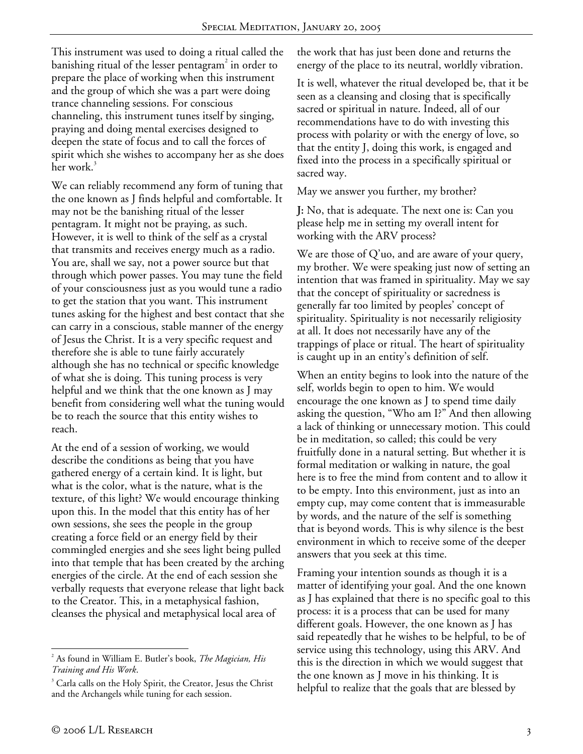This instrument was used to doing a ritual called the banishing ritual of the lesser pentagram $^2$  in order to prepare the place of working when this instrument and the group of which she was a part were doing trance channeling sessions. For conscious channeling, this instrument tunes itself by singing, praying and doing mental exercises designed to deepen the state of focus and to call the forces of spirit which she wishes to accompany her as she does her work.<sup>3</sup>

We can reliably recommend any form of tuning that the one known as J finds helpful and comfortable. It may not be the banishing ritual of the lesser pentagram. It might not be praying, as such. However, it is well to think of the self as a crystal that transmits and receives energy much as a radio. You are, shall we say, not a power source but that through which power passes. You may tune the field of your consciousness just as you would tune a radio to get the station that you want. This instrument tunes asking for the highest and best contact that she can carry in a conscious, stable manner of the energy of Jesus the Christ. It is a very specific request and therefore she is able to tune fairly accurately although she has no technical or specific knowledge of what she is doing. This tuning process is very helpful and we think that the one known as J may benefit from considering well what the tuning would be to reach the source that this entity wishes to reach.

At the end of a session of working, we would describe the conditions as being that you have gathered energy of a certain kind. It is light, but what is the color, what is the nature, what is the texture, of this light? We would encourage thinking upon this. In the model that this entity has of her own sessions, she sees the people in the group creating a force field or an energy field by their commingled energies and she sees light being pulled into that temple that has been created by the arching energies of the circle. At the end of each session she verbally requests that everyone release that light back to the Creator. This, in a metaphysical fashion, cleanses the physical and metaphysical local area of

the work that has just been done and returns the energy of the place to its neutral, worldly vibration.

It is well, whatever the ritual developed be, that it be seen as a cleansing and closing that is specifically sacred or spiritual in nature. Indeed, all of our recommendations have to do with investing this process with polarity or with the energy of love, so that the entity J, doing this work, is engaged and fixed into the process in a specifically spiritual or sacred way.

May we answer you further, my brother?

**J:** No, that is adequate. The next one is: Can you please help me in setting my overall intent for working with the ARV process?

We are those of Q'uo, and are aware of your query, my brother. We were speaking just now of setting an intention that was framed in spirituality. May we say that the concept of spirituality or sacredness is generally far too limited by peoples' concept of spirituality. Spirituality is not necessarily religiosity at all. It does not necessarily have any of the trappings of place or ritual. The heart of spirituality is caught up in an entity's definition of self.

When an entity begins to look into the nature of the self, worlds begin to open to him. We would encourage the one known as J to spend time daily asking the question, "Who am I?" And then allowing a lack of thinking or unnecessary motion. This could be in meditation, so called; this could be very fruitfully done in a natural setting. But whether it is formal meditation or walking in nature, the goal here is to free the mind from content and to allow it to be empty. Into this environment, just as into an empty cup, may come content that is immeasurable by words, and the nature of the self is something that is beyond words. This is why silence is the best environment in which to receive some of the deeper answers that you seek at this time.

Framing your intention sounds as though it is a matter of identifying your goal. And the one known as J has explained that there is no specific goal to this process: it is a process that can be used for many different goals. However, the one known as J has said repeatedly that he wishes to be helpful, to be of service using this technology, using this ARV. And this is the direction in which we would suggest that the one known as J move in his thinking. It is helpful to realize that the goals that are blessed by

 $\overline{a}$ 2 As found in William E. Butler's book, *The Magician, His Training and His Work*. 3

 $3$  Carla calls on the Holy Spirit, the Creator, Jesus the Christ and the Archangels while tuning for each session.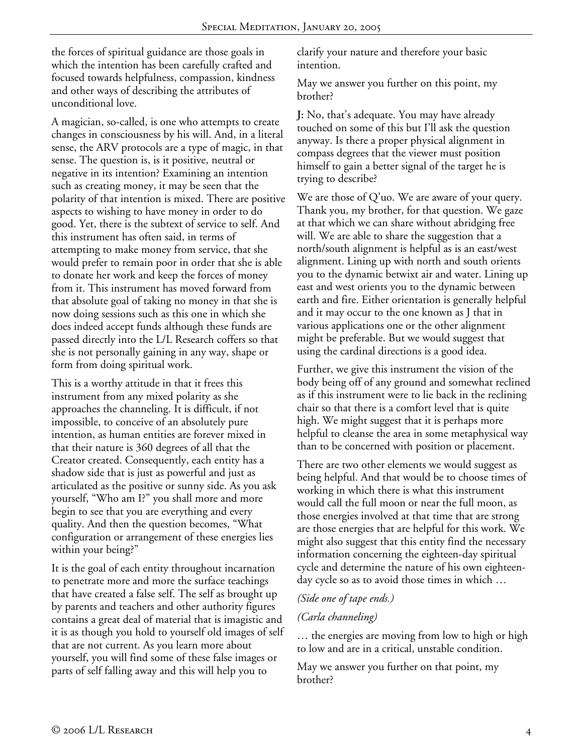the forces of spiritual guidance are those goals in which the intention has been carefully crafted and focused towards helpfulness, compassion, kindness and other ways of describing the attributes of unconditional love.

A magician, so-called, is one who attempts to create changes in consciousness by his will. And, in a literal sense, the ARV protocols are a type of magic, in that sense. The question is, is it positive, neutral or negative in its intention? Examining an intention such as creating money, it may be seen that the polarity of that intention is mixed. There are positive aspects to wishing to have money in order to do good. Yet, there is the subtext of service to self. And this instrument has often said, in terms of attempting to make money from service, that she would prefer to remain poor in order that she is able to donate her work and keep the forces of money from it. This instrument has moved forward from that absolute goal of taking no money in that she is now doing sessions such as this one in which she does indeed accept funds although these funds are passed directly into the L/L Research coffers so that she is not personally gaining in any way, shape or form from doing spiritual work.

This is a worthy attitude in that it frees this instrument from any mixed polarity as she approaches the channeling. It is difficult, if not impossible, to conceive of an absolutely pure intention, as human entities are forever mixed in that their nature is 360 degrees of all that the Creator created. Consequently, each entity has a shadow side that is just as powerful and just as articulated as the positive or sunny side. As you ask yourself, "Who am I?" you shall more and more begin to see that you are everything and every quality. And then the question becomes, "What configuration or arrangement of these energies lies within your being?"

It is the goal of each entity throughout incarnation to penetrate more and more the surface teachings that have created a false self. The self as brought up by parents and teachers and other authority figures contains a great deal of material that is imagistic and it is as though you hold to yourself old images of self that are not current. As you learn more about yourself, you will find some of these false images or parts of self falling away and this will help you to

clarify your nature and therefore your basic intention.

May we answer you further on this point, my brother?

**J:** No, that's adequate. You may have already touched on some of this but I'll ask the question anyway. Is there a proper physical alignment in compass degrees that the viewer must position himself to gain a better signal of the target he is trying to describe?

We are those of Q'uo. We are aware of your query. Thank you, my brother, for that question. We gaze at that which we can share without abridging free will. We are able to share the suggestion that a north/south alignment is helpful as is an east/west alignment. Lining up with north and south orients you to the dynamic betwixt air and water. Lining up east and west orients you to the dynamic between earth and fire. Either orientation is generally helpful and it may occur to the one known as J that in various applications one or the other alignment might be preferable. But we would suggest that using the cardinal directions is a good idea.

Further, we give this instrument the vision of the body being off of any ground and somewhat reclined as if this instrument were to lie back in the reclining chair so that there is a comfort level that is quite high. We might suggest that it is perhaps more helpful to cleanse the area in some metaphysical way than to be concerned with position or placement.

There are two other elements we would suggest as being helpful. And that would be to choose times of working in which there is what this instrument would call the full moon or near the full moon, as those energies involved at that time that are strong are those energies that are helpful for this work. We might also suggest that this entity find the necessary information concerning the eighteen-day spiritual cycle and determine the nature of his own eighteenday cycle so as to avoid those times in which …

## *(Side one of tape ends.)*

## *(Carla channeling)*

… the energies are moving from low to high or high to low and are in a critical, unstable condition.

May we answer you further on that point, my brother?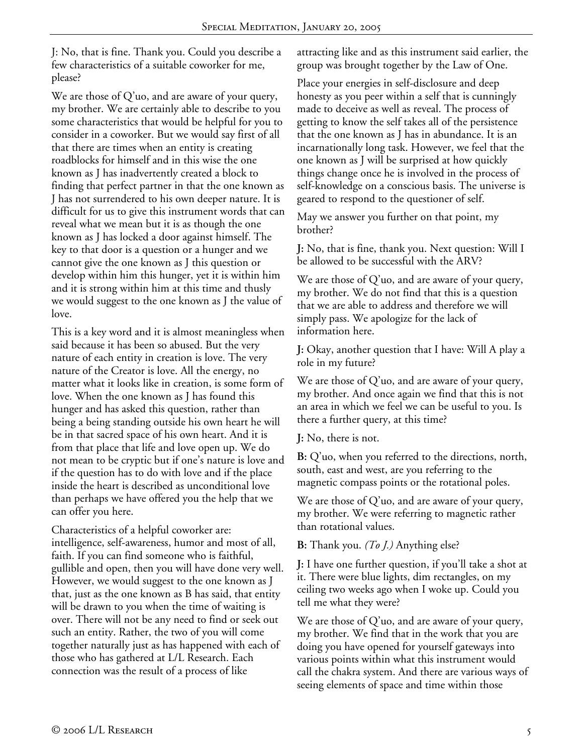J: No, that is fine. Thank you. Could you describe a few characteristics of a suitable coworker for me, please?

We are those of Q'uo, and are aware of your query, my brother. We are certainly able to describe to you some characteristics that would be helpful for you to consider in a coworker. But we would say first of all that there are times when an entity is creating roadblocks for himself and in this wise the one known as J has inadvertently created a block to finding that perfect partner in that the one known as J has not surrendered to his own deeper nature. It is difficult for us to give this instrument words that can reveal what we mean but it is as though the one known as J has locked a door against himself. The key to that door is a question or a hunger and we cannot give the one known as J this question or develop within him this hunger, yet it is within him and it is strong within him at this time and thusly we would suggest to the one known as J the value of love.

This is a key word and it is almost meaningless when said because it has been so abused. But the very nature of each entity in creation is love. The very nature of the Creator is love. All the energy, no matter what it looks like in creation, is some form of love. When the one known as J has found this hunger and has asked this question, rather than being a being standing outside his own heart he will be in that sacred space of his own heart. And it is from that place that life and love open up. We do not mean to be cryptic but if one's nature is love and if the question has to do with love and if the place inside the heart is described as unconditional love than perhaps we have offered you the help that we can offer you here.

Characteristics of a helpful coworker are: intelligence, self-awareness, humor and most of all, faith. If you can find someone who is faithful, gullible and open, then you will have done very well. However, we would suggest to the one known as J that, just as the one known as B has said, that entity will be drawn to you when the time of waiting is over. There will not be any need to find or seek out such an entity. Rather, the two of you will come together naturally just as has happened with each of those who has gathered at L/L Research. Each connection was the result of a process of like

attracting like and as this instrument said earlier, the group was brought together by the Law of One.

Place your energies in self-disclosure and deep honesty as you peer within a self that is cunningly made to deceive as well as reveal. The process of getting to know the self takes all of the persistence that the one known as J has in abundance. It is an incarnationally long task. However, we feel that the one known as J will be surprised at how quickly things change once he is involved in the process of self-knowledge on a conscious basis. The universe is geared to respond to the questioner of self.

May we answer you further on that point, my brother?

**J:** No, that is fine, thank you. Next question: Will I be allowed to be successful with the ARV?

We are those of  $Q'$ uo, and are aware of your query, my brother. We do not find that this is a question that we are able to address and therefore we will simply pass. We apologize for the lack of information here.

**J:** Okay, another question that I have: Will A play a role in my future?

We are those of Q'uo, and are aware of your query, my brother. And once again we find that this is not an area in which we feel we can be useful to you. Is there a further query, at this time?

**J:** No, there is not.

**B:** Q'uo, when you referred to the directions, north, south, east and west, are you referring to the magnetic compass points or the rotational poles.

We are those of Q'uo, and are aware of your query, my brother. We were referring to magnetic rather than rotational values.

**B:** Thank you. *(To J.)* Anything else?

**J:** I have one further question, if you'll take a shot at it. There were blue lights, dim rectangles, on my ceiling two weeks ago when I woke up. Could you tell me what they were?

We are those of Q'uo, and are aware of your query, my brother. We find that in the work that you are doing you have opened for yourself gateways into various points within what this instrument would call the chakra system. And there are various ways of seeing elements of space and time within those